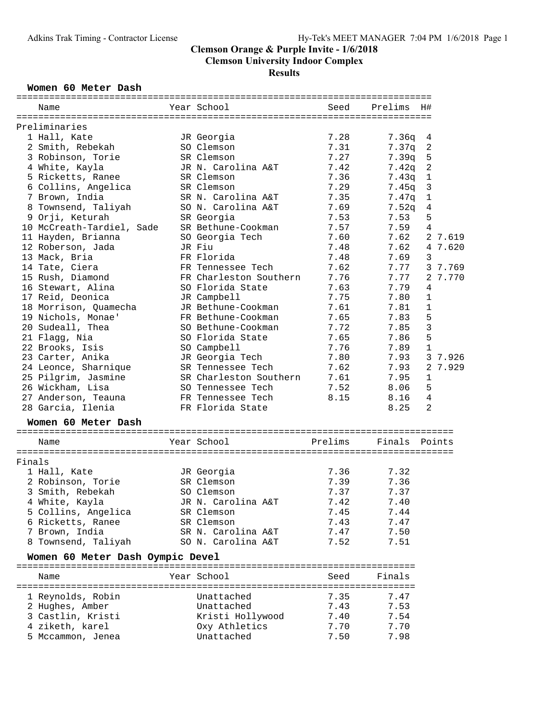#### Women 60 Meter Dash

|        | Name                             | Year School            | Seed    | Prelims | H#             |
|--------|----------------------------------|------------------------|---------|---------|----------------|
|        | Preliminaries                    |                        |         |         |                |
|        | 1 Hall, Kate                     | JR Georgia             | 7.28    | 7.36q   | 4              |
|        | 2 Smith, Rebekah                 | SO Clemson             | 7.31    | 7.37q   | 2              |
|        | 3 Robinson, Torie                | SR Clemson             | 7.27    | 7.39q   | 5              |
|        | 4 White, Kayla                   | JR N. Carolina A&T     | 7.42    | 7.42q   | $\overline{c}$ |
|        | 5 Ricketts, Ranee                | SR Clemson             | 7.36    | 7.43q   | $\mathbf{1}$   |
|        | 6 Collins, Angelica              | SR Clemson             | 7.29    | 7.45g   | 3              |
|        | 7 Brown, India                   | SR N. Carolina A&T     | 7.35    | 7.47q   | $\mathbf{1}$   |
|        | 8 Townsend, Taliyah              | SO N. Carolina A&T     | 7.69    | 7.52q   | 4              |
|        | 9 Orji, Keturah                  | SR Georgia             | 7.53    | 7.53    | 5              |
|        | 10 McCreath-Tardiel, Sade        | SR Bethune-Cookman     | 7.57    | 7.59    | 4              |
|        | 11 Hayden, Brianna               | SO Georgia Tech        | 7.60    | 7.62    | 2 7.619        |
|        | 12 Roberson, Jada                | JR Fiu                 | 7.48    | 7.62    | 4 7.620        |
|        | 13 Mack, Bria                    | FR Florida             | 7.48    | 7.69    | 3              |
|        |                                  |                        | 7.62    | 7.77    | 3 7.769        |
|        | 14 Tate, Ciera                   | FR Tennessee Tech      |         |         |                |
|        | 15 Rush, Diamond                 | FR Charleston Southern | 7.76    | 7.77    | 2 7.770        |
|        | 16 Stewart, Alina                | SO Florida State       | 7.63    | 7.79    | 4              |
|        | 17 Reid, Deonica                 | JR Campbell            | 7.75    | 7.80    | $\mathbf{1}$   |
|        | 18 Morrison, Quamecha            | JR Bethune-Cookman     | 7.61    | 7.81    | $\mathbf{1}$   |
|        | 19 Nichols, Monae'               | FR Bethune-Cookman     | 7.65    | 7.83    | 5              |
|        | 20 Sudeall, Thea                 | SO Bethune-Cookman     | 7.72    | 7.85    | $\overline{3}$ |
|        | 21 Flagg, Nia                    | SO Florida State       | 7.65    | 7.86    | 5              |
|        | 22 Brooks, Isis                  | SO Campbell            | 7.76    | 7.89    | $\mathbf{1}$   |
|        | 23 Carter, Anika                 | JR Georgia Tech        | 7.80    | 7.93    | 3 7.926        |
|        | 24 Leonce, Sharnique             | SR Tennessee Tech      | 7.62    | 7.93    | 2 7.929        |
|        | 25 Pilgrim, Jasmine              | SR Charleston Southern | 7.61    | 7.95    | $\mathbf{1}$   |
|        | 26 Wickham, Lisa                 | SO Tennessee Tech      | 7.52    | 8.06    | 5              |
|        | 27 Anderson, Teauna              | FR Tennessee Tech      | 8.15    | 8.16    | $\overline{4}$ |
|        | 28 Garcia, Ilenia                | FR Florida State       |         | 8.25    | $\overline{a}$ |
|        | Women 60 Meter Dash              |                        |         |         |                |
|        | Name                             | Year School            | Prelims | Finals  | Points         |
| Finals |                                  |                        |         |         |                |
|        | 1 Hall, Kate                     | JR Georgia             | 7.36    | 7.32    |                |
|        | 2 Robinson, Torie                | SR Clemson             | 7.39    | 7.36    |                |
|        | 3 Smith, Rebekah                 | SO Clemson             | 7.37    | 7.37    |                |
|        | 4 White, Kayla                   | JR N. Carolina A&T     | 7.42    | 7.40    |                |
|        | 5 Collins, Angelica              | SR Clemson             | 7.45    | 7.44    |                |
|        | 6 Ricketts, Ranee                | SR Clemson             | 7.43    | 7.47    |                |
|        | 7 Brown, India                   | SR N. Carolina A&T     | 7.47    | 7.50    |                |
|        | 8 Townsend, Taliyah              | SO N. Carolina A&T     | 7.52    | 7.51    |                |
|        | Women 60 Meter Dash Oympic Devel |                        |         |         |                |
|        | Name                             | Year School            | Seed    | Finals  |                |
|        |                                  |                        |         |         |                |
|        | 1 Reynolds, Robin                | Unattached             | 7.35    | 7.47    |                |
|        | 2 Hughes, Amber                  | Unattached             | 7.43    | 7.53    |                |
|        | 3 Castlin, Kristi                | Kristi Hollywood       | 7.40    | 7.54    |                |
|        | 4 ziketh, karel                  | Oxy Athletics          | 7.70    | 7.70    |                |
|        | 5 Mccammon, Jenea                | Unattached             | 7.50    | 7.98    |                |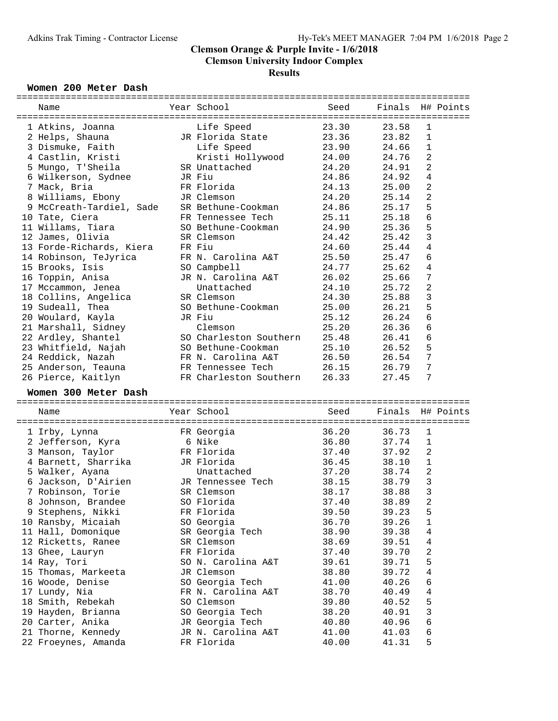| Women 200 Meter Dash     |                        |       |        |              |           |
|--------------------------|------------------------|-------|--------|--------------|-----------|
| Name                     | Year School            | Seed  | Finals |              | H# Points |
|                          |                        |       |        |              |           |
| 1 Atkins, Joanna         | Life Speed             | 23.30 | 23.58  | 1            |           |
| 2 Helps, Shauna          | JR Florida State       | 23.36 | 23.82  | $\mathbf{1}$ |           |
| 3 Dismuke, Faith         | Life Speed             | 23.90 | 24.66  | 1            |           |
| 4 Castlin, Kristi        | Kristi Hollywood       | 24.00 | 24.76  | 2            |           |
| 5 Mungo, T'Sheila        | SR Unattached          | 24.20 | 24.91  | 2            |           |
| 6 Wilkerson, Sydnee      | JR Fiu                 | 24.86 | 24.92  | 4            |           |
| 7 Mack, Bria             | FR Florida             | 24.13 | 25.00  | 2            |           |
| 8 Williams, Ebony        | JR Clemson             | 24.20 | 25.14  | 2            |           |
| 9 McCreath-Tardiel, Sade | SR Bethune-Cookman     | 24.86 | 25.17  | 5            |           |
| 10 Tate, Ciera           | FR Tennessee Tech      | 25.11 | 25.18  | 6            |           |
| 11 Willams, Tiara        | SO Bethune-Cookman     | 24.90 | 25.36  | 5            |           |
| 12 James, Olivia         | SR Clemson             | 24.42 | 25.42  | 3            |           |
| 13 Forde-Richards, Kiera | FR Fiu                 | 24.60 | 25.44  | 4            |           |
| 14 Robinson, TeJyrica    | FR N. Carolina A&T     | 25.50 | 25.47  | 6            |           |
| 15 Brooks, Isis          | SO Campbell            | 24.77 | 25.62  | 4            |           |
| 16 Toppin, Anisa         | JR N. Carolina A&T     | 26.02 | 25.66  | 7            |           |
| 17 Mccammon, Jenea       | Unattached             | 24.10 | 25.72  | 2            |           |
| 18 Collins, Angelica     | SR Clemson             | 24.30 | 25.88  | 3            |           |
| 19 Sudeall, Thea         | SO Bethune-Cookman     | 25.00 | 26.21  | 5            |           |
| 20 Woulard, Kayla        | JR Fiu                 | 25.12 | 26.24  | 6            |           |
| 21 Marshall, Sidney      | Clemson                | 25.20 | 26.36  | 6            |           |
| 22 Ardley, Shantel       | SO Charleston Southern | 25.48 | 26.41  | 6            |           |
| 23 Whitfield, Najah      | SO Bethune-Cookman     | 25.10 | 26.52  | 5            |           |
| 24 Reddick, Nazah        | FR N. Carolina A&T     | 26.50 | 26.54  | 7            |           |
| 25 Anderson, Teauna      | FR Tennessee Tech      | 26.15 | 26.79  | 7            |           |
| 26 Pierce, Kaitlyn       | FR Charleston Southern | 26.33 | 27.45  | 7            |           |
| Women 300 Meter Dash     |                        |       |        |              |           |
|                          |                        |       |        |              |           |
| Name                     | Year School            | Seed  | Finals |              | H# Points |
| 1 Irby, Lynna            | FR Georgia             | 36.20 | 36.73  | $\mathbf 1$  |           |
| 2 Jefferson, Kyra        | 6 Nike                 | 36.80 | 37.74  | 1            |           |
| 3 Manson, Taylor         | FR Florida             | 37.40 | 37.92  | 2            |           |
| 4 Barnett, Sharrika      | JR Florida             | 36.45 | 38.10  | $\mathbf 1$  |           |
| 5 Walker, Ayana          | Unattached             | 37.20 | 38.74  | 2            |           |
| 6 Jackson, D'Airien      | JR Tennessee Tech      | 38.15 | 38.79  | 3            |           |
| 7 Robinson, Torie        | SR Clemson             | 38.17 | 38.88  | 3            |           |
| 8 Johnson, Brandee       | SO Florida             | 37.40 | 38.89  | 2            |           |
| 9 Stephens, Nikki        | FR Florida             | 39.50 | 39.23  | 5            |           |
| 10 Ransby, Micaiah       | SO Georgia             | 36.70 | 39.26  | 1            |           |
| 11 Hall, Domonique       | SR Georgia Tech        | 38.90 | 39.38  | 4            |           |
| 12 Ricketts, Ranee       | SR Clemson             | 38.69 | 39.51  | 4            |           |
| 13 Ghee, Lauryn          | FR Florida             | 37.40 | 39.70  | 2            |           |
| 14 Ray, Tori             | SO N. Carolina A&T     | 39.61 | 39.71  | 5            |           |
| 15 Thomas, Markeeta      | JR Clemson             | 38.80 | 39.72  | 4            |           |
| 16 Woode, Denise         | SO Georgia Tech        | 41.00 | 40.26  | 6            |           |
| 17 Lundy, Nia            | FR N. Carolina A&T     | 38.70 | 40.49  | 4            |           |
| 18 Smith, Rebekah        | SO Clemson             | 39.80 | 40.52  | 5            |           |
| 19 Hayden, Brianna       | SO Georgia Tech        | 38.20 | 40.91  | 3            |           |
| 20 Carter, Anika         | JR Georgia Tech        | 40.80 | 40.96  | 6            |           |
| 21 Thorne, Kennedy       | JR N. Carolina A&T     | 41.00 | 41.03  | 6            |           |
| 22 Froeynes, Amanda      | FR Florida             | 40.00 | 41.31  | 5            |           |
|                          |                        |       |        |              |           |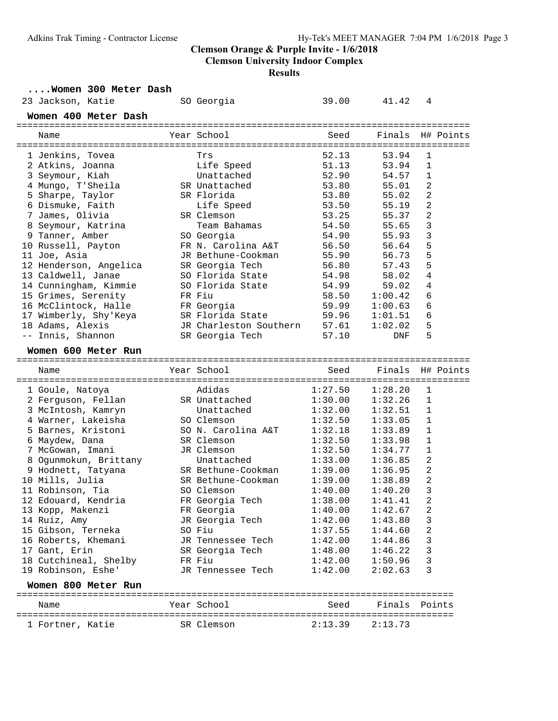**Clemson University Indoor Complex**

#### **Results**

**....Women 300 Meter Dash**

| 23 Jackson, Katie                            | SO Georgia                          | 39.00          | 41.42          | 4                       |
|----------------------------------------------|-------------------------------------|----------------|----------------|-------------------------|
| Women 400 Meter Dash                         |                                     |                |                |                         |
| Name                                         | Year School                         | Seed           | Finals         | H# Points               |
|                                              |                                     | 52.13          | 53.94          | 1                       |
| 1 Jenkins, Tovea<br>2 Atkins, Joanna         | Trs<br>Life Speed                   | 51.13          | 53.94          | 1                       |
| 3 Seymour, Kiah                              | Unattached                          | 52.90          | 54.57          | 1                       |
| 4 Mungo, T'Sheila                            | SR Unattached                       | 53.80          | 55.01          | 2                       |
| 5 Sharpe, Taylor                             | SR Florida                          | 53.80          | 55.02          | 2                       |
| 6 Dismuke, Faith                             | Life Speed                          | 53.50          | 55.19          | $\overline{a}$          |
| 7 James, Olivia                              | SR Clemson                          | 53.25          | 55.37          | 2                       |
|                                              | Team Bahamas                        | 54.50          | 55.65          | 3                       |
| 8 Seymour, Katrina<br>9 Tanner, Amber        |                                     | 54.90          | 55.93          | 3                       |
|                                              | SO Georgia<br>FR N. Carolina A&T    | 56.50          | 56.64          | 5                       |
| 10 Russell, Payton<br>11 Joe, Asia           | JR Bethune-Cookman                  | 55.90          | 56.73          | 5                       |
|                                              |                                     |                | 57.43          | 5                       |
| 12 Henderson, Angelica<br>13 Caldwell, Janae | SR Georgia Tech<br>SO Florida State | 56.80<br>54.98 |                | 4                       |
| 14 Cunningham, Kimmie                        | SO Florida State                    | 54.99          | 58.02<br>59.02 | 4                       |
| 15 Grimes, Serenity                          | FR Fiu                              |                |                | 6                       |
| 16 McClintock, Halle                         |                                     | 58.50<br>59.99 | 1:00.42        | 6                       |
|                                              | FR Georgia                          |                | 1:00.63        | 6                       |
| 17 Wimberly, Shy'Keya                        | SR Florida State                    | 59.96          | 1:01.51        |                         |
| 18 Adams, Alexis                             | JR Charleston Southern              | 57.61<br>57.10 | 1:02.02        | 5                       |
| -- Innis, Shannon                            | SR Georgia Tech                     |                | <b>DNF</b>     | 5                       |
| Women 600 Meter Run                          |                                     |                |                |                         |
|                                              |                                     |                |                |                         |
| Name                                         | Year School                         | Seed           | Finals         | H# Points               |
|                                              |                                     |                |                |                         |
| 1 Goule, Natoya                              | Adidas                              | 1:27.50        | 1:28.20        | 1                       |
| 2 Ferguson, Fellan                           | SR Unattached                       | 1:30.00        | 1:32.26        | 1                       |
| 3 McIntosh, Kamryn                           | Unattached                          | 1:32.00        | 1:32.51        | 1                       |
| 4 Warner, Lakeisha                           | SO Clemson                          | 1:32.50        | 1:33.05        | 1                       |
| 5 Barnes, Kristoni                           | SO N. Carolina A&T                  | 1:32.18        | 1:33.89        | 1                       |
| 6 Maydew, Dana                               | SR Clemson                          | 1:32.50        | 1:33.98        | $\mathbf 1$             |
| 7 McGowan, Imani                             | JR Clemson                          | 1:32.50        | 1:34.77        | 1                       |
| 8 Ogunmokun, Brittany                        | Unattached                          | 1:33.00        | 1:36.85        | 2                       |
| 9 Hodnett, Tatyana                           | SR Bethune-Cookman                  | 1:39.00        | 1:36.95        | 2                       |
| 10 Mills, Julia                              | SR Bethune-Cookman                  | 1:39.00        | 1:38.89        | 2                       |
| 11 Robinson, Tia                             | SO Clemson                          | 1:40.00        | 1:40.20        | 3                       |
| 12 Edouard, Kendria                          | FR Georgia Tech                     | 1:38.00        | 1:41.41        | $\overline{\mathbf{c}}$ |
| 13 Kopp, Makenzi                             | FR Georgia                          | 1:40.00        | 1:42.67        | 2                       |
| 14 Ruiz, Amy                                 | JR Georgia Tech                     | 1:42.00        | 1:43.80        | 3                       |
| 15 Gibson, Terneka                           | SO Fiu                              | 1:37.55        | 1:44.60        | 2                       |
| 16 Roberts, Khemani                          | JR Tennessee Tech                   | 1:42.00        | 1:44.86        | 3                       |
| 17 Gant, Erin                                | SR Georgia Tech                     | 1:48.00        | 1:46.22        | 3                       |
| 18 Cutchineal, Shelby                        | FR Fiu                              | 1:42.00        | 1:50.96        | 3                       |
| 19 Robinson, Eshe'                           | JR Tennessee Tech                   | 1:42.00        | 2:02.63        | 3                       |
| Women 800 Meter Run                          |                                     |                |                |                         |
| Name                                         | Year School                         | Seed           |                | Finals Points           |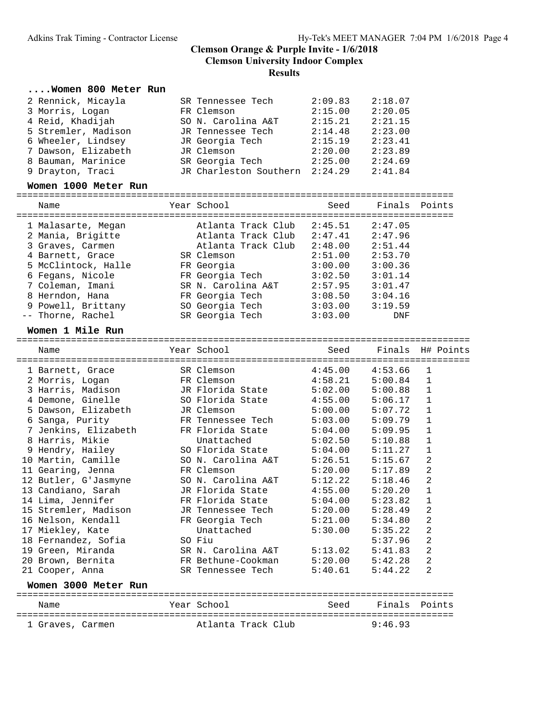#### **....Women 800 Meter Run**

| 2 Rennick, Micayla  | SR Tennessee Tech      | 2:09.83 | 2:18.07 |
|---------------------|------------------------|---------|---------|
| 3 Morris, Logan     | FR Clemson             | 2:15.00 | 2:20.05 |
| 4 Reid, Khadijah    | SO N. Carolina A&T     | 2:15.21 | 2:21.15 |
| 5 Stremler, Madison | JR Tennessee Tech      | 2:14.48 | 2:23.00 |
| 6 Wheeler, Lindsey  | JR Georgia Tech        | 2:15.19 | 2:23.41 |
| 7 Dawson, Elizabeth | JR Clemson             | 2:20.00 | 2:23.89 |
| 8 Bauman, Marinice  | SR Georgia Tech        | 2:25.00 | 2:24.69 |
| 9 Drayton, Traci    | JR Charleston Southern | 2:24.29 | 2:41.84 |
|                     |                        |         |         |

#### Women 1000 Meter Run

| Name                                                        | Year School                                                    | Seed                          | Finals Points                 |  |
|-------------------------------------------------------------|----------------------------------------------------------------|-------------------------------|-------------------------------|--|
| 1 Malasarte, Megan<br>2 Mania, Brigitte<br>3 Graves, Carmen | Atlanta Track Club<br>Atlanta Track Club<br>Atlanta Track Club | 2:45.51<br>2:47.41<br>2:48.00 | 2:47.05<br>2:47.96<br>2:51.44 |  |
| 4 Barnett, Grace                                            | SR Clemson                                                     | 2:51.00                       | 2:53.70                       |  |
| 5 McClintock, Halle                                         | FR Georgia                                                     | 3:00.00                       | 3:00.36                       |  |

| 6 Fegans, Nicole   | FR Georgia Tech    | 3:02.50 | 3:01.14 |
|--------------------|--------------------|---------|---------|
| 7 Coleman, Imani   | SR N. Carolina A&T | 2:57.95 | 3:01.47 |
| 8 Herndon, Hana    | FR Georgia Tech    | 3:08.50 | 3:04.16 |
| 9 Powell, Brittany | SO Georgia Tech    | 3:03.00 | 3:19.59 |
| -- Thorne, Rachel  | SR Georgia Tech    | 3:03.00 | DNF     |
|                    |                    |         |         |

# **Women 1 Mile Run** ===================================================================================

Name The Sear School Seed Finals H# Points =================================================================================== 1 Barnett, Grace SR Clemson 4:45.00 4:53.66 1 2 Morris, Logan FR Clemson 4:58.21 5:00.84 1 3 Harris, Madison JR Florida State 5:02.00 5:00.88 1 4 Demone, Ginelle SO Florida State 4:55.00 5:06.17 1 5 Dawson, Elizabeth JR Clemson 5:00.00 5:07.72 1 6 Sanga, Purity FR Tennessee Tech 5:03.00 5:09.79 1 7 Jenkins, Elizabeth FR Florida State 5:04.00 5:09.95 1 8 Harris, Mikie Unattached 5:02.50 5:10.88 1 9 Hendry, Hailey SO Florida State 5:04.00 5:11.27 1 10 Martin, Camille SO N. Carolina A&T 5:26.51 5:15.67 2 11 Gearing, Jenna FR Clemson 5:20.00 5:17.89 2 12 Butler, G'Jasmyne SO N. Carolina A&T 5:12.22 5:18.46 2 13 Candiano, Sarah JR Florida State 4:55.00 5:20.20 1 14 Lima, Jennifer FR Florida State 5:04.00 5:23.82 1 15 Stremler, Madison JR Tennessee Tech 5:20.00 5:28.49 2 16 Nelson, Kendall FR Georgia Tech 5:21.00 5:34.80 2 17 Miekley, Kate Unattached 5:30.00 5:35.22 2 18 Fernandez, Sofia SO Fiu 5:37.96 2 19 Green, Miranda SR N. Carolina A&T 5:13.02 5:41.83 2 20 Brown, Bernita FR Bethune-Cookman 5:20.00 5:42.28 2 21 Cooper, Anna SR Tennessee Tech 5:40.61 5:44.22 2 **Women 3000 Meter Run** ================================================================================ Name Year School Seed Finals Points

| <b>NGHIE</b> |        | 50.HUU 1 |                  | 355Y | <b>12. I</b><br>$\pm 11a \pm b$ | - - -<br>' + + + + 5 |
|--------------|--------|----------|------------------|------|---------------------------------|----------------------|
|              |        |          |                  |      |                                 |                      |
| Gra<br>.ves  | Carmen |          | lanta Track Club |      | ີດ ≎<br>9.16                    |                      |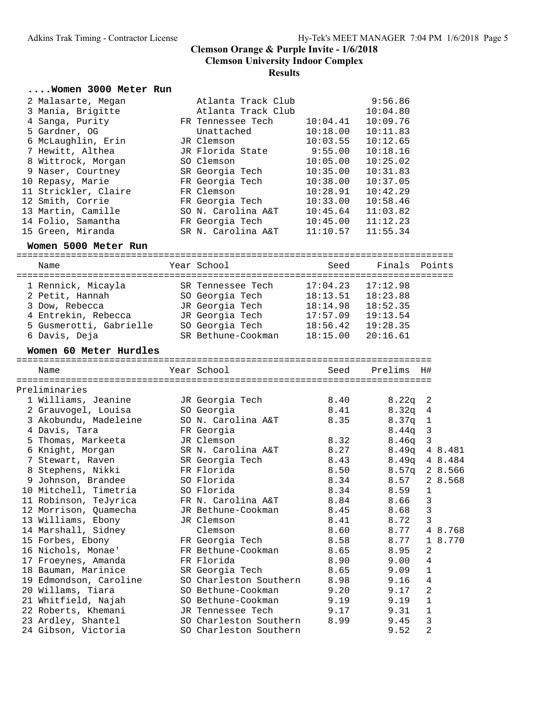#### **....Women 3000 Meter Run**

| 2 Malasarte, Megan   | Atlanta Track Club |          | 9:56.86  |  |
|----------------------|--------------------|----------|----------|--|
| 3 Mania, Brigitte    | Atlanta Track Club |          | 10:04.80 |  |
| 4 Sanga, Purity      | FR Tennessee Tech  | 10:04.41 | 10:09.76 |  |
| 5 Gardner, OG        | Unattached         | 10:18.00 | 10:11.83 |  |
| 6 McLaughlin, Erin   | JR Clemson         | 10:03.55 | 10:12.65 |  |
| 7 Hewitt, Althea     | JR Florida State   | 9:55.00  | 10:18.16 |  |
| 8 Wittrock, Morgan   | SO Clemson         | 10:05.00 | 10:25.02 |  |
| 9 Naser, Courtney    | SR Georgia Tech    | 10:35.00 | 10:31.83 |  |
| 10 Repasy, Marie     | FR Georgia Tech    | 10:38.00 | 10:37.05 |  |
| 11 Strickler, Claire | FR Clemson         | 10:28.91 | 10:42.29 |  |
| 12 Smith, Corrie     | FR Georgia Tech    | 10:33.00 | 10:58.46 |  |
| 13 Martin, Camille   | SO N. Carolina A&T | 10:45.64 | 11:03.82 |  |
| 14 Folio, Samantha   | FR Georgia Tech    | 10:45.00 | 11:12.23 |  |
| 15 Green, Miranda    | SR N. Carolina A&T | 11:10.57 | 11:55.34 |  |
| Women 5000 Meter Run |                    |          |          |  |

Name Year School Seed Finals Points ================================================================================ 1 Rennick, Micayla SR Tennessee Tech 17:04.23 17:12.98

| 2 Petit, Hannah         | SO Georgia Tech    | 18:13.51 | 18:23.88 |  |
|-------------------------|--------------------|----------|----------|--|
| 3 Dow, Rebecca          | JR Georgia Tech    | 18:14.98 | 18:52.35 |  |
| 4 Entrekin, Rebecca     | JR Georgia Tech    | 17:57.09 | 19:13.54 |  |
| 5 Gusmerotti, Gabrielle | SO Georgia Tech    | 18:56.42 | 19:28.35 |  |
| 6 Davis, Deja           | SR Bethune-Cookman | 18:15.00 | 20:16.61 |  |

#### Women 60 Meter Hurdles

| Name                                                                  |                             |      |                   |                |         |
|-----------------------------------------------------------------------|-----------------------------|------|-------------------|----------------|---------|
| Preliminaries                                                         |                             |      |                   |                |         |
| 1 Williams, Jeanine          JR Georgia Tech                     8.40 |                             |      | $8.22q$ 2         |                |         |
| 2 Grauvogel, Louisa SO Georgia                                        |                             | 8.41 | $8.32q$ 4         |                |         |
| 3 Akobundu, Madeleine SO N. Carolina A&T                              |                             | 8.35 | $8.37q$ 1         |                |         |
| 4 Davis, Tara                                                         | FR Georgia                  |      | $8.44q$ 3         |                |         |
| 5 Thomas, Markeeta JR Clemson                                         |                             | 8.32 | $8.46q$ 3         |                |         |
|                                                                       |                             | 8.27 | 8.49q 4 8.481     |                |         |
| 7 Stewart, Raven                   SR Georgia Tech                    |                             | 8.43 | 8.49q 4 8.484     |                |         |
| 8 Stephens, Nikki KR Florida                                          |                             | 8.50 | $8.57q$ 2 $8.566$ |                |         |
| 9 Johnson, Brandee SO Florida                                         |                             | 8.34 | 8.57 28.568       |                |         |
| 10 Mitchell, Timetria SO Florida                                      |                             | 8.34 | $8.59$ 1          |                |         |
| 11 Robinson, TeJyrica         FR N. Carolina A&T                      |                             | 8.84 | 8.66              | $\mathbf{3}$   |         |
| 12 Morrison, Quamecha        JR Bethune-Cookman                       |                             | 8.45 | 8.68              | $\overline{3}$ |         |
| 13 Williams, Ebony                                                    | JR Clemson                  | 8.41 | 8.72              | $\overline{3}$ |         |
| 14 Marshall, Sidney                                                   | Clemson                     | 8.60 | 8.77              |                | 4 8.768 |
| 15 Forbes, Ebony                 FR Georgia Tech                      |                             | 8.58 | 8.77              |                | 1 8.770 |
| 16 Nichols, Monae'                                                    | FR Bethune-Cookman          | 8.65 | 8.95              | $\overline{2}$ |         |
| 17 Froeynes, Amanda                                                   | FR Florida                  | 8.90 | 9.00              | $\overline{4}$ |         |
| 18 Bauman, Marinice                                                   | SR Georgia Tech             | 8.65 | 9.09              | $\mathbf{1}$   |         |
| 19 Edmondson, Caroline                                                | SO Charleston Southern 8.98 |      | 9.16              | $\overline{4}$ |         |
| 20 Willams, Tiara                                                     | SO Bethune-Cookman          | 9.20 | 9.17              | 2              |         |
|                                                                       |                             |      | 9.19              | $\mathbf{1}$   |         |
| 22 Roberts, Khemani         JR Tennessee Tech             9.17        |                             |      | 9.31              | $\mathbf 1$    |         |
| 23 Ardley, Shantel SO Charleston Southern                             |                             | 8.99 | 9.45              | $\mathbf{3}$   |         |
| 24 Gibson, Victoria                                                   | SO Charleston Southern      |      | 9.52              | $\overline{2}$ |         |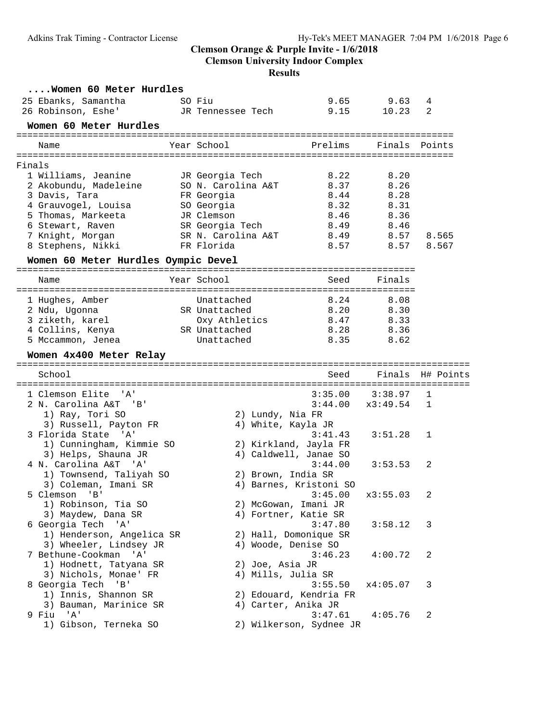**Clemson University Indoor Complex**

#### **Results**

|        | Women 60 Meter Hurdles                          |                                       |                                 |              |                  |
|--------|-------------------------------------------------|---------------------------------------|---------------------------------|--------------|------------------|
|        | 25 Ebanks, Samantha                             | SO Fiu                                | 9.65                            | 9.63         | 4                |
|        | 26 Robinson, Eshe'                              | JR Tennessee Tech                     | 9.15                            | 10.23        | 2                |
|        | Women 60 Meter Hurdles                          |                                       |                                 |              |                  |
|        | Name                                            | Year School                           | Prelims                         |              | Finals Points    |
|        |                                                 |                                       |                                 |              |                  |
| Finals |                                                 |                                       |                                 |              |                  |
|        | 1 Williams, Jeanine                             | JR Georgia Tech<br>SO N. Carolina A&T | 8.22<br>8.37                    | 8.20<br>8.26 |                  |
|        | 2 Akobundu, Madeleine<br>3 Davis, Tara          |                                       | 8.44                            | 8.28         |                  |
|        | 4 Grauvogel, Louisa                             | FR Georgia<br>SO Georgia              | 8.32                            | 8.31         |                  |
|        | 5 Thomas, Markeeta                              | JR Clemson                            | 8.46                            | 8.36         |                  |
|        | 6 Stewart, Raven                                | SR Georgia Tech                       | 8.49                            | 8.46         |                  |
|        | 7 Knight, Morgan                                | SR N. Carolina A&T                    | 8.49                            | 8.57         | 8.565            |
|        | 8 Stephens, Nikki                               | FR Florida                            | 8.57                            | 8.57         | 8.567            |
|        | Women 60 Meter Hurdles Oympic Devel             |                                       |                                 |              |                  |
|        |                                                 |                                       |                                 |              |                  |
|        | Name                                            | Year School                           | Seed                            | Finals       |                  |
|        | 1 Hughes, Amber                                 | Unattached                            | 8.24                            | 8.08         |                  |
|        | 2 Ndu, Ugonna                                   | SR Unattached                         | 8.20                            | 8.30         |                  |
|        | 3 ziketh, karel                                 | Oxy Athletics                         | 8.47                            | 8.33         |                  |
|        | 4 Collins, Kenya                                | SR Unattached                         | 8.28                            | 8.36         |                  |
|        | 5 Mccammon, Jenea                               | Unattached                            | 8.35                            | 8.62         |                  |
|        | Women 4x400 Meter Relay                         |                                       |                                 |              |                  |
|        |                                                 |                                       |                                 |              |                  |
|        | School                                          |                                       | Seed                            |              | Finals H# Points |
|        | 1 Clemson Elite<br>$^{\prime}$ A $^{\prime}$    |                                       | 3:35.00                         | 3:38.97      | 1                |
|        | 2 N. Carolina A&T 'B'                           |                                       | 3:44.00                         | x3:49.54     | 1                |
|        | 1) Ray, Tori SO                                 |                                       | 2) Lundy, Nia FR                |              |                  |
|        | 3) Russell, Payton FR                           |                                       | 4) White, Kayla JR              |              |                  |
|        | 3 Florida State 'A'                             |                                       | 3:41.43                         | 3:51.28      | 1                |
|        | 1) Cunningham, Kimmie SO                        |                                       | 2) Kirkland, Jayla FR           |              |                  |
|        | 3) Helps, Shauna JR                             |                                       | 4) Caldwell, Janae SO           |              |                  |
|        | 4 N. Carolina A&T<br>'' A '                     |                                       | 3:44.00                         | 3:53.53      | 2                |
|        | 1) Townsend, Taliyah SO                         |                                       | 2) Brown, India SR              |              |                  |
|        | 3) Coleman, Imani SR                            |                                       | 4) Barnes, Kristoni SO          |              |                  |
|        | 5 Clemson 'B'                                   |                                       | $3:45.00 \times 3:55.03$        |              | $\sqrt{2}$       |
|        | 1) Robinson, Tia SO                             |                                       | 2) McGowan, Imani JR            |              |                  |
|        | 3) Maydew, Dana SR                              |                                       | 4) Fortner, Katie SR<br>3:47.80 |              |                  |
|        | 6 Georgia Tech 'A'<br>1) Henderson, Angelica SR |                                       | 2) Hall, Domonique SR           | 3:58.12      | 3                |
|        | 3) Wheeler, Lindsey JR                          |                                       | 4) Woode, Denise SO             |              |                  |
|        | 7 Bethune-Cookman 'A'                           |                                       | 3:46.23                         | 4:00.72      | 2                |
|        | 1) Hodnett, Tatyana SR                          |                                       | 2) Joe, Asia JR                 |              |                  |
|        | 3) Nichols, Monae' FR                           |                                       | 4) Mills, Julia SR              |              |                  |
|        | 8 Georgia Tech 'B'                              |                                       | 3:55.50                         | x4:05.07     | 3                |
|        | 1) Innis, Shannon SR                            |                                       | 2) Edouard, Kendria FR          |              |                  |
|        | 3) Bauman, Marinice SR                          |                                       | 4) Carter, Anika JR             |              |                  |
|        | 9 Fiu 'A'                                       |                                       | 3:47.61                         | 4:05.76      | 2                |
|        | 1) Gibson, Terneka SO                           |                                       | 2) Wilkerson, Sydnee JR         |              |                  |
|        |                                                 |                                       |                                 |              |                  |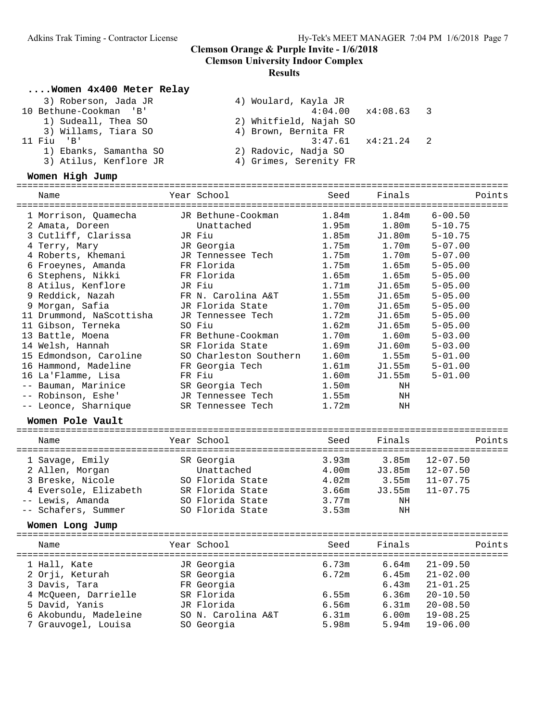# **Results**

### **....Women 4x400 Meter Relay**

| 3) Roberson, Jada JR   | 4) Woulard, Kayla JR       |  |
|------------------------|----------------------------|--|
| 10 Bethune-Cookman 'B' | $4:04.00 \times 4:08.63$ 3 |  |
| 1) Sudeall, Thea SO    | 2) Whitfield, Najah SO     |  |
| 3) Willams, Tiara SO   | 4) Brown, Bernita FR       |  |
| 11 Fiu 'B'             | $3:47.61 \times 4:21.24$ 2 |  |
| 1) Ebanks, Samantha SO | 2) Radovic, Nadja SO       |  |
| 3) Atilus, Kenflore JR | 4) Grimes, Serenity FR     |  |
|                        |                            |  |

| Women High Jump          |                        |                   |                   |              |
|--------------------------|------------------------|-------------------|-------------------|--------------|
| Name                     | Year School            | Seed              | Finals            | Points       |
| 1 Morrison, Quamecha     | JR Bethune-Cookman     | 1.84m             | 1.84 <sub>m</sub> | $6 - 00.50$  |
| 2 Amata, Doreen          | Unattached             | 1.95m             | 1.80 <sub>m</sub> | $5 - 10.75$  |
| 3 Cutliff, Clarissa      | JR Fiu                 | 1.85m             | J1.80m            | $5 - 10.75$  |
| 4 Terry, Mary            | JR Georgia             | 1.75m             | 1.70m             | $5 - 07.00$  |
| 4 Roberts, Khemani       | JR Tennessee Tech      | 1.75m             | 1.70m             | $5 - 07.00$  |
| 6 Froeynes, Amanda       | FR Florida             | 1.75m             | 1.65m             | $5 - 05.00$  |
| 6 Stephens, Nikki        | FR Florida             | 1.65m             | 1.65m             | $5 - 05.00$  |
| 8 Atilus, Kenflore       | JR Fiu                 | 1.71m             | J1.65m            | $5 - 05.00$  |
| 9 Reddick, Nazah         | FR N. Carolina A&T     | 1.55m             | J1.65m            | $5 - 05.00$  |
| 9 Morgan, Safia          | JR Florida State       | 1.70m             | J1.65m            | $5 - 05.00$  |
| 11 Drummond, NaScottisha | JR Tennessee Tech      | 1.72m             | J1.65m            | $5 - 05.00$  |
| 11 Gibson, Terneka       | SO Fiu                 | 1.62m             | J1.65m            | $5 - 05.00$  |
| 13 Battle, Moena         | FR Bethune-Cookman     | 1.70m             | 1.60m             | $5 - 03.00$  |
| 14 Welsh, Hannah         | SR Florida State       | 1.69m             | J1.60m            | $5 - 03.00$  |
| 15 Edmondson, Caroline   | SO Charleston Southern | 1.60m             | 1.55m             | $5 - 01.00$  |
| 16 Hammond, Madeline     | FR Georgia Tech        | 1.61 <sub>m</sub> | J1.55m            | $5 - 01.00$  |
| 16 La'Flamme, Lisa       | FR Fiu                 | 1.60m             | J1.55m            | $5 - 01.00$  |
| -- Bauman, Marinice      | SR Georgia Tech        | 1.50m             | NH                |              |
| -- Robinson, Eshe'       | JR Tennessee Tech      | 1.55m             | ΝH                |              |
| -- Leonce, Sharnique     | SR Tennessee Tech      | 1.72m             | ΝH                |              |
| Women Pole Vault         |                        |                   |                   |              |
| Name                     | Year School            | Seed              | Finals            | Points       |
|                          |                        |                   |                   |              |
| 1 Savage, Emily          | SR Georgia             | 3.93m             | 3.85m             | $12 - 07.50$ |
| 2 Allen, Morgan          | Unattached             | 4.00m             | J3.85m            | $12 - 07.50$ |
| 3 Breske, Nicole         | SO Florida State       | 4.02m             | 3.55m             | $11 - 07.75$ |
| 4 Eversole, Elizabeth    | SR Florida State       | 3.66m             | J3.55m            | $11 - 07.75$ |
| -- Lewis, Amanda         | SO Florida State       | 3.77m             | NH                |              |
| -- Schafers, Summer      | SO Florida State       | 3.53m             | NH                |              |
| Women Long Jump          |                        |                   |                   |              |
| Name                     | Year School            | Seed              | Finals            | Points       |
| 1 Hall, Kate             | JR Georgia             | 6.73m             | 6.64m             | $21 - 09.50$ |
| 2 Orji, Keturah          | SR Georgia             | 6.72m             | 6.45m             | $21 - 02.00$ |
| 3 Davis, Tara            | FR Georgia             |                   | 6.43m             | $21 - 01.25$ |
| 4 McQueen, Darrielle     | SR Florida             | 6.55m             | 6.36m             | $20 - 10.50$ |
| 5 David, Yanis           | JR Florida             | 6.56m             | 6.31m             | $20 - 08.50$ |
| 6 Akobundu, Madeleine    | SO N. Carolina A&T     | 6.31m             | 6.00m             | $19 - 08.25$ |
|                          | SO Georgia             | 5.98m             | 5.94m             | $19 - 06.00$ |
| 7 Grauvogel, Louisa      |                        |                   |                   |              |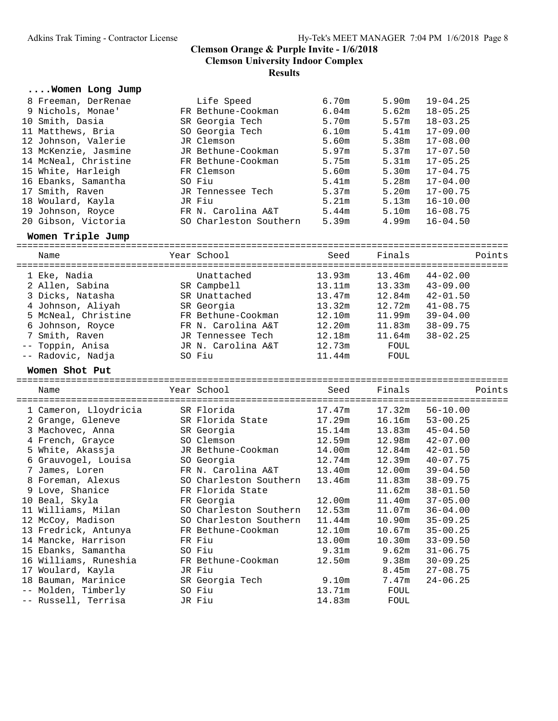# **....Women Long Jump**

| 8 Freeman, DerRenae  | Life Speed             | 6.70m             | 5.90m             | $19 - 04.25$ |
|----------------------|------------------------|-------------------|-------------------|--------------|
| 9 Nichols, Monae'    | FR Bethune-Cookman     | 6.04 <sub>m</sub> | 5.62m             | $18 - 05.25$ |
| 10 Smith, Dasia      | SR Georgia Tech        | 5.70m             | 5.57m             | $18 - 03.25$ |
| 11 Matthews, Bria    | SO Georgia Tech        | 6.10m             | 5.41m             | $17 - 09.00$ |
| 12 Johnson, Valerie  | JR Clemson             | 5.60m             | 5.38m             | $17 - 08.00$ |
| 13 McKenzie, Jasmine | JR Bethune-Cookman     | 5.97m             | 5.37m             | $17 - 07.50$ |
| 14 McNeal, Christine | FR Bethune-Cookman     | 5.75m             | 5.31m             | $17 - 05.25$ |
| 15 White, Harleigh   | FR Clemson             | 5.60m             | 5.30m             | $17 - 04.75$ |
| 16 Ebanks, Samantha  | SO Fiu                 | 5.41m             | 5.28m             | $17 - 04.00$ |
| 17 Smith, Raven      | JR Tennessee Tech      | 5.37m             | 5.20m             | $17 - 00.75$ |
| 18 Woulard, Kayla    | JR Fiu                 | 5.21m             | 5.13m             | $16 - 10.00$ |
| 19 Johnson, Royce    | FR N. Carolina A&T     | 5.44m             | 5.10m             | $16 - 08.75$ |
| 20 Gibson, Victoria  | SO Charleston Southern | 5.39m             | 4.99 <sub>m</sub> | $16 - 04.50$ |

### $Women$  Triple Jump

| Name                | Year School        | Seed   | Finals | Points       |
|---------------------|--------------------|--------|--------|--------------|
| 1 Eke, Nadia        | Unattached         | 13.93m | 13.46m | $44 - 02.00$ |
| 2 Allen, Sabina     | SR Campbell        | 13.11m | 13.33m | $43 - 09.00$ |
| 3 Dicks, Natasha    | SR Unattached      | 13.47m | 12.84m | $42 - 01.50$ |
| 4 Johnson, Aliyah   | SR Georgia         | 13.32m | 12.72m | $41 - 08.75$ |
| 5 McNeal, Christine | FR Bethune-Cookman | 12.10m | 11.99m | $39 - 04.00$ |
| 6 Johnson, Royce    | FR N. Carolina A&T | 12.20m | 11.83m | $38 - 09.75$ |
| 7 Smith, Raven      | JR Tennessee Tech  | 12.18m | 11.64m | $38 - 02.25$ |
| -- Toppin, Anisa    | JR N. Carolina A&T | 12.73m | FOUL   |              |
| -- Radovic, Nadja   | SO Fiu             | 11.44m | FOUL   |              |

**Women Shot Put** ==========================================================================================

| Name<br>============================ | Year School            | Seed   | Finals | Points       |
|--------------------------------------|------------------------|--------|--------|--------------|
| 1 Cameron, Lloydricia                | SR Florida             | 17.47m | 17.32m | $56 - 10.00$ |
| 2 Grange, Gleneve                    | SR Florida State       | 17.29m | 16.16m | $53 - 00.25$ |
| 3 Machovec, Anna                     | SR Georgia             | 15.14m | 13.83m | $45 - 04.50$ |
| 4 French, Grayce                     | SO Clemson             | 12.59m | 12.98m | $42 - 07.00$ |
| 5 White, Akassja                     | JR Bethune-Cookman     | 14.00m | 12.84m | $42 - 01.50$ |
| 6 Grauvogel, Louisa                  | SO Georgia             | 12.74m | 12.39m | $40 - 07.75$ |
| 7 James, Loren                       | FR N. Carolina A&T     | 13.40m | 12.00m | $39 - 04.50$ |
| 8 Foreman, Alexus                    | SO Charleston Southern | 13.46m | 11.83m | $38 - 09.75$ |
| 9 Love, Shanice                      | FR Florida State       |        | 11.62m | $38 - 01.50$ |
| 10 Beal, Skyla                       | FR Georgia             | 12.00m | 11.40m | $37 - 05.00$ |
| 11 Williams, Milan                   | SO Charleston Southern | 12.53m | 11.07m | $36 - 04.00$ |
| 12 McCoy, Madison                    | SO Charleston Southern | 11.44m | 10.90m | $35 - 09.25$ |
| 13 Fredrick, Antunya                 | FR Bethune-Cookman     | 12.10m | 10.67m | $35 - 00.25$ |
| 14 Mancke, Harrison                  | FR Fiu                 | 13.00m | 10.30m | $33 - 09.50$ |
| 15 Ebanks, Samantha                  | SO Fiu                 | 9.31m  | 9.62m  | $31 - 06.75$ |
| 16 Williams, Runeshia                | FR Bethune-Cookman     | 12.50m | 9.38m  | $30 - 09.25$ |
| 17 Woulard, Kayla                    | JR Fiu                 |        | 8.45m  | $27 - 08.75$ |
| 18 Bauman, Marinice                  | SR Georgia Tech        | 9.10m  | 7.47m  | $24 - 06.25$ |
| -- Molden, Timberly                  | SO Fiu                 | 13.71m | FOUL   |              |
| -- Russell, Terrisa                  | JR Fiu                 | 14.83m | FOUL   |              |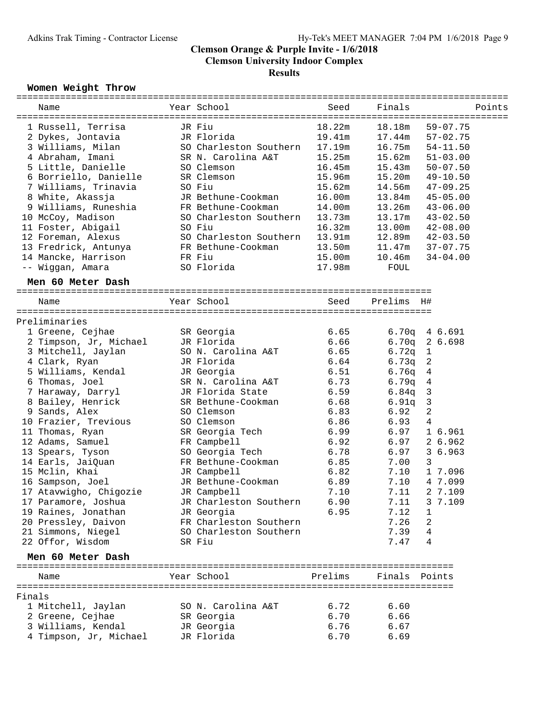|        | Women Weight Throw                  |                                  |              |                        |                                          |
|--------|-------------------------------------|----------------------------------|--------------|------------------------|------------------------------------------|
|        | Name                                | Year School                      | Seed         | Finals                 | Points                                   |
|        | 1 Russell, Terrisa                  | JR Fiu                           | 18.22m       | 18.18m                 | $59 - 07.75$                             |
|        | 2 Dykes, Jontavia                   | JR Florida                       | 19.41m       | 17.44m                 | $57 - 02.75$                             |
|        | 3 Williams, Milan                   | SO Charleston Southern           | 17.19m       | 16.75m                 | $54 - 11.50$                             |
|        | 4 Abraham, Imani                    | SR N. Carolina A&T               | 15.25m       | 15.62m                 | $51 - 03.00$                             |
|        | 5 Little, Danielle                  | SO Clemson                       | 16.45m       | 15.43m                 | $50 - 07.50$                             |
|        | 6 Borriello, Danielle               | SR Clemson                       | 15.96m       | 15.20m                 | $49 - 10.50$                             |
|        | 7 Williams, Trinavia                | SO Fiu                           | 15.62m       | 14.56m                 | $47 - 09.25$                             |
|        | 8 White, Akassja                    | JR Bethune-Cookman               | 16.00m       | 13.84m                 | $45 - 05.00$                             |
|        | 9 Williams, Runeshia                | FR Bethune-Cookman               | 14.00m       | 13.26m                 | $43 - 06.00$                             |
|        | 10 McCoy, Madison                   | SO Charleston Southern           | 13.73m       | 13.17m                 | $43 - 02.50$                             |
|        | 11 Foster, Abigail                  | SO Fiu                           | 16.32m       | 13.00m                 | $42 - 08.00$                             |
|        | 12 Foreman, Alexus                  | SO Charleston Southern           | 13.91m       | 12.89m                 | 42-03.50                                 |
|        | 13 Fredrick, Antunya                | FR Bethune-Cookman               | 13.50m       | 11.47m                 | $37 - 07.75$                             |
|        | 14 Mancke, Harrison                 | FR Fiu                           | 15.00m       | 10.46m                 | $34 - 04.00$                             |
|        | -- Wiggan, Amara                    | SO Florida                       | 17.98m       | FOUL                   |                                          |
|        | Men 60 Meter Dash                   |                                  |              |                        |                                          |
|        |                                     |                                  |              |                        |                                          |
|        | Name                                | Year School                      | Seed         | Prelims<br>- H#        |                                          |
|        |                                     |                                  |              |                        |                                          |
|        | Preliminaries                       |                                  |              |                        |                                          |
|        | 1 Greene, Cejhae                    | SR Georgia                       | 6.65         |                        | $6.70q$ 4 6.691                          |
|        | 2 Timpson, Jr, Michael              | JR Florida                       | 6.66         |                        | $6.70q$ 2 6.698                          |
|        | 3 Mitchell, Jaylan                  | SO N. Carolina A&T<br>JR Florida | 6.65<br>6.64 | 6.72q<br>6.73q         | $\mathbf{1}$<br>$\overline{\phantom{a}}$ |
|        | 4 Clark, Ryan<br>5 Williams, Kendal | JR Georgia                       | 6.51         |                        |                                          |
|        | 6 Thomas, Joel                      | SR N. Carolina A&T               | 6.73         | $6.76q$ 4              |                                          |
|        | 7 Haraway, Darryl                   | JR Florida State                 | 6.59         | $6.79q$ 4<br>$6.84q$ 3 |                                          |
|        |                                     | SR Bethune-Cookman               | 6.68         | $6.91q$ 3              |                                          |
|        | 8 Bailey, Henrick<br>9 Sands, Alex  | SO Clemson                       | 6.83         | 6.92                   | 2                                        |
|        | 10 Frazier, Trevious                | SO Clemson                       | 6.86         | 6.93                   | 4                                        |
|        | 11 Thomas, Ryan                     | SR Georgia Tech                  | 6.99         | 6.97                   | 1 6.961                                  |
|        | 12 Adams, Samuel                    | FR Campbell                      | 6.92         | 6.97                   | 2 6.962                                  |
|        | 13 Spears, Tyson                    | SO Georgia Tech                  | 6.78         | 6.97                   | 3 6.963                                  |
|        | 14 Earls, JaiQuan                   | FR Bethune-Cookman               | 6.85         | 7.00                   | 3                                        |
|        | 15 Mclin, Khai                      | JR Campbell                      | 6.82         | 7.10                   | 1 7.096                                  |
|        | 16 Sampson, Joel                    | JR Bethune-Cookman               | 6.89         | 7.10                   | 4 7.099                                  |
|        | 17 Atavwigho, Chigozie              | JR Campbell                      | 7.10         | 7.11                   | 2 7.109                                  |
|        | 17 Paramore, Joshua                 | JR Charleston Southern           | 6.90         | 7.11                   | 3 7.109                                  |
|        | 19 Raines, Jonathan                 | JR Georgia                       | 6.95         | 7.12                   | 1                                        |
|        | 20 Pressley, Daivon                 | FR Charleston Southern           |              | 7.26                   | 2                                        |
|        | 21 Simmons, Niegel                  | SO Charleston Southern           |              | 7.39                   | $\overline{4}$                           |
|        | 22 Offor, Wisdom                    | SR Fiu                           |              | 7.47                   | 4                                        |
|        | Men 60 Meter Dash                   |                                  |              |                        |                                          |
|        | Name                                | Year School                      | Prelims      | Finals Points          |                                          |
|        |                                     |                                  |              |                        |                                          |
| Finals |                                     |                                  |              |                        |                                          |
|        | 1 Mitchell, Jaylan                  | SO N. Carolina A&T               | 6.72         | 6.60                   |                                          |
|        | 2 Greene, Cejhae                    | SR Georgia                       | 6.70         | 6.66                   |                                          |
|        | 3 Williams, Kendal                  | JR Georgia                       | 6.76         | 6.67                   |                                          |
|        | 4 Timpson, Jr, Michael              | JR Florida                       | 6.70         | 6.69                   |                                          |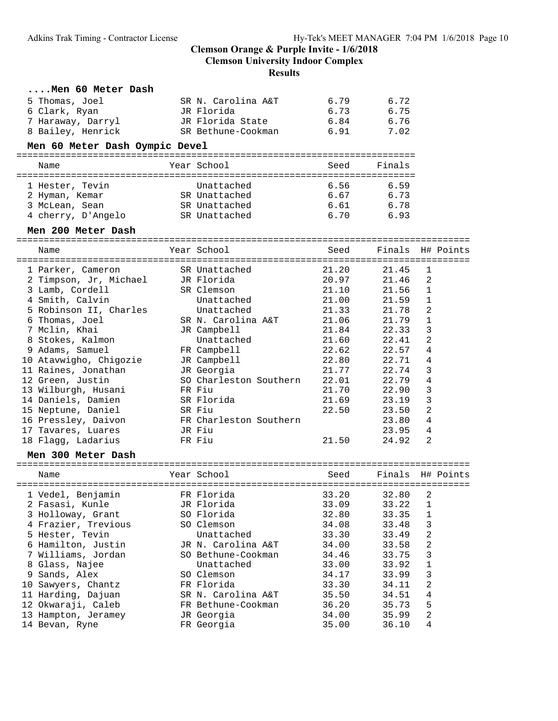| Men 60 Meter Dash              |                          |       |        |                         |           |
|--------------------------------|--------------------------|-------|--------|-------------------------|-----------|
| 5 Thomas, Joel                 | SR N. Carolina A&T       | 6.79  | 6.72   |                         |           |
| 6 Clark, Ryan                  | JR Florida               | 6.73  | 6.75   |                         |           |
| 7 Haraway, Darryl              | JR Florida State         | 6.84  | 6.76   |                         |           |
| 8 Bailey, Henrick              | SR Bethune-Cookman       | 6.91  | 7.02   |                         |           |
| Men 60 Meter Dash Oympic Devel |                          |       |        |                         |           |
| Name                           | Year School              | Seed  | Finals |                         |           |
| 1 Hester, Tevin                | Unattached               | 6.56  | 6.59   |                         |           |
| 2 Hyman, Kemar                 | SR Unattached            | 6.67  | 6.73   |                         |           |
| 3 McLean, Sean                 | SR Unattached            | 6.61  | 6.78   |                         |           |
| 4 cherry, D'Angelo             | SR Unattached            | 6.70  | 6.93   |                         |           |
| Men 200 Meter Dash             |                          |       |        |                         |           |
|                                |                          |       |        |                         |           |
| Name                           | Year School              | Seed  | Finals |                         | H# Points |
| 1 Parker, Cameron              | SR Unattached            | 21.20 | 21.45  | 1                       |           |
| 2 Timpson, Jr, Michael         | JR Florida               | 20.97 | 21.46  | 2                       |           |
| 3 Lamb, Cordell                | SR Clemson               | 21.10 | 21.56  | 1                       |           |
| 4 Smith, Calvin                | Unattached               | 21.00 | 21.59  | 1                       |           |
| 5 Robinson II, Charles         | Unattached               | 21.33 | 21.78  | 2                       |           |
| 6 Thomas, Joel                 | SR N. Carolina A&T       | 21.06 | 21.79  | 1                       |           |
| 7 Mclin, Khai                  | JR Campbell              | 21.84 | 22.33  | 3                       |           |
| 8 Stokes, Kalmon               | Unattached               | 21.60 | 22.41  | 2                       |           |
| 9 Adams, Samuel                | FR Campbell              | 22.62 | 22.57  | 4                       |           |
| 10 Atavwigho, Chigozie         | JR Campbell              | 22.80 | 22.71  | 4                       |           |
| 11 Raines, Jonathan            | JR Georgia               | 21.77 | 22.74  | 3                       |           |
| 12 Green, Justin               | SO Charleston Southern   | 22.01 | 22.79  | 4                       |           |
| 13 Wilburgh, Husani            | FR Fiu                   | 21.70 | 22.90  | 3                       |           |
| 14 Daniels, Damien             | SR Florida               | 21.69 | 23.19  | 3                       |           |
| 15 Neptune, Daniel             | SR Fiu                   | 22.50 | 23.50  | 2                       |           |
| 16 Pressley, Daivon            | FR Charleston Southern   |       | 23.80  | 4                       |           |
| 17 Tavares, Luares             | JR Fiu                   |       | 23.95  | 4                       |           |
| 18 Flagg, Ladarius             | FR Fiu                   | 21.50 | 24.92  | 2                       |           |
| Men 300 Meter Dash             |                          |       |        |                         |           |
|                                |                          |       |        |                         |           |
| Name                           | Year School              | Seed  | Finals |                         | H# Points |
| 1 Vedel, Benjamin              | FR Florida               | 33.20 | 32.80  | 2                       |           |
| 2 Fasasi, Kunle                | JR Florida               | 33.09 | 33.22  | 1                       |           |
| 3 Holloway, Grant              | SO Florida               | 32.80 | 33.35  | $\mathbf 1$             |           |
| 4 Frazier, Trevious            | SO Clemson               | 34.08 | 33.48  | 3                       |           |
| 5 Hester, Tevin                | Unattached               | 33.30 | 33.49  | $\mathbf{2}$            |           |
| 6 Hamilton, Justin             | JR N. Carolina A&T       | 34.00 | 33.58  | $\sqrt{2}$              |           |
| 7 Williams, Jordan             | SO Bethune-Cookman       | 34.46 | 33.75  | 3                       |           |
| 8 Glass, Najee                 | Unattached               | 33.00 | 33.92  | $\mathbf 1$             |           |
| 9 Sands, Alex                  | SO Clemson               | 34.17 | 33.99  | 3                       |           |
| 10 Sawyers, Chantz             | FR Florida               | 33.30 | 34.11  | $\overline{\mathbf{c}}$ |           |
| 11 Harding, Dajuan             | SR N. Carolina A&T       | 35.50 | 34.51  | $\,4$                   |           |
| 12 Okwaraji, Caleb             | FR Bethune-Cookman       | 36.20 | 35.73  | 5                       |           |
|                                |                          |       |        |                         |           |
| 13 Hampton, Jeramey            | JR Georgia<br>FR Georgia | 34.00 | 35.99  | 2<br>4                  |           |
| 14 Bevan, Ryne                 |                          | 35.00 | 36.10  |                         |           |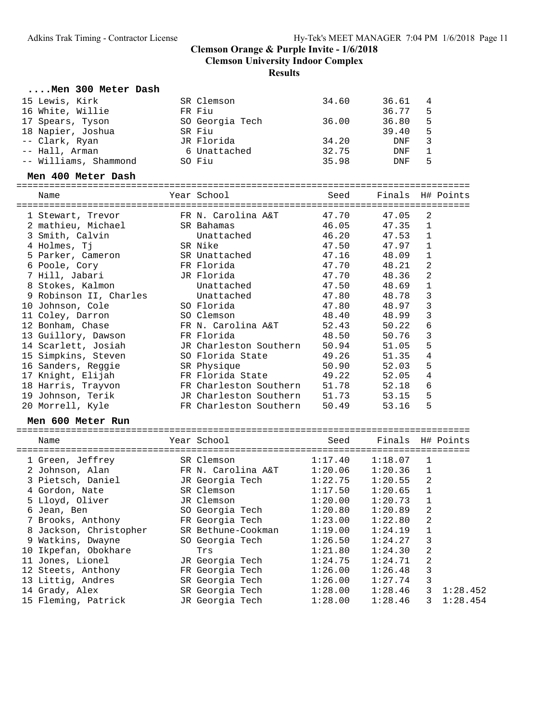**Clemson University Indoor Complex**

**Results**

| $\ldots$ . Men 300 Meter Dash           |                        |         |                  |   |           |
|-----------------------------------------|------------------------|---------|------------------|---|-----------|
| 15 Lewis, Kirk                          | SR Clemson             | 34.60   | 36.61            | 4 |           |
| 16 White, Willie                        | FR Fiu                 |         | 36.77            | 5 |           |
| 17 Spears, Tyson                        | SO Georgia Tech        | 36.00   | 36.80            | 5 |           |
| 18 Napier, Joshua                       | SR Fiu                 |         | 39.40            | 5 |           |
| -- Clark, Ryan                          | JR Florida             | 34.20   | DNF              | 3 |           |
| -- Hall, Arman                          | 6 Unattached           | 32.75   | DNF              | 1 |           |
| -- Williams, Shammond                   | SO Fiu                 | 35.98   | DNF              | 5 |           |
| Men 400 Meter Dash                      |                        |         |                  |   |           |
| Name                                    | Year School            | Seed    | Finals H# Points |   |           |
|                                         | FR N. Carolina A&T     | 47.70   | 47.05            | 2 |           |
| 1 Stewart, Trevor<br>2 mathieu, Michael | SR Bahamas             | 46.05   | 47.35            | 1 |           |
| 3 Smith, Calvin                         | Unattached             | 46.20   | 47.53            | 1 |           |
| 4 Holmes, Tj                            | SR Nike                | 47.50   | 47.97            | 1 |           |
| 5 Parker, Cameron                       | SR Unattached          | 47.16   | 48.09            | 1 |           |
| 6 Poole, Cory                           | FR Florida             | 47.70   | 48.21            | 2 |           |
| 7 Hill, Jabari                          | JR Florida             | 47.70   | 48.36            | 2 |           |
| 8 Stokes, Kalmon                        | Unattached             | 47.50   | 48.69            | 1 |           |
| 9 Robinson II, Charles                  | Unattached             | 47.80   | 48.78            | 3 |           |
| 10 Johnson, Cole                        | SO Florida             | 47.80   | 48.97            | 3 |           |
| 11 Coley, Darron                        | SO Clemson             | 48.40   | 48.99            | 3 |           |
| 12 Bonham, Chase                        | FR N. Carolina A&T     | 52.43   | 50.22            | 6 |           |
| 13 Guillory, Dawson                     | FR Florida             | 48.50   | 50.76            | 3 |           |
| 14 Scarlett, Josiah                     | JR Charleston Southern | 50.94   | 51.05            | 5 |           |
| 15 Simpkins, Steven                     | SO Florida State       | 49.26   | 51.35            | 4 |           |
| 16 Sanders, Reggie                      | SR Physique            | 50.90   | 52.03            | 5 |           |
| 17 Knight, Elijah                       | FR Florida State       | 49.22   | 52.05            | 4 |           |
| 18 Harris, Trayvon                      | FR Charleston Southern | 51.78   | 52.18            | 6 |           |
| 19 Johnson, Terik                       | JR Charleston Southern | 51.73   | 53.15            | 5 |           |
| 20 Morrell, Kyle                        | FR Charleston Southern | 50.49   | 53.16            | 5 |           |
| Men 600 Meter Run                       |                        |         |                  |   |           |
| Name                                    | Year School            | Seed    | Finals           |   | H# Points |
| 1 Green, Jeffrey                        | SR Clemson             | 1:17.40 | 1:18.07          | 1 |           |
| 2 Johnson, Alan                         | FR N. Carolina A&T     | 1:20.06 | 1:20.36          | 1 |           |
| 3 Pietsch, Daniel                       | JR Georgia Tech        | 1:22.75 | 1:20.55          | 2 |           |
| 4 Gordon, Nate                          | SR Clemson             | 1:17.50 | $1:20.65$ 1      |   |           |
| 5 Lloyd, Oliver                         | JR Clemson             | 1:20.00 | 1:20.73          | 1 |           |
| 6 Jean, Ben                             | SO Georgia Tech        | 1:20.80 | 1:20.89          | 2 |           |
| 7 Brooks, Anthony                       | FR Georgia Tech        | 1:23.00 | 1:22.80          | 2 |           |
| 8 Jackson, Christopher                  | SR Bethune-Cookman     | 1:19.00 | 1:24.19          | 1 |           |
| 9 Watkins, Dwayne                       | SO Georgia Tech        | 1:26.50 | 1:24.27          | 3 |           |
| 10 Ikpefan, Obokhare                    | Trs                    | 1:21.80 | 1:24.30          | 2 |           |
| 11 Jones, Lionel                        | JR Georgia Tech        | 1:24.75 | 1:24.71          | 2 |           |
| 12 Steets, Anthony                      | FR Georgia Tech        | 1:26.00 | 1:26.48          | 3 |           |
| 13 Littig, Andres                       | SR Georgia Tech        | 1:26.00 | 1:27.74          | 3 |           |
| 14 Grady, Alex                          | SR Georgia Tech        | 1:28.00 | 1:28.46          | 3 | 1:28.452  |
| 15 Fleming, Patrick                     | JR Georgia Tech        | 1:28.00 | 1:28.46          | 3 | 1:28.454  |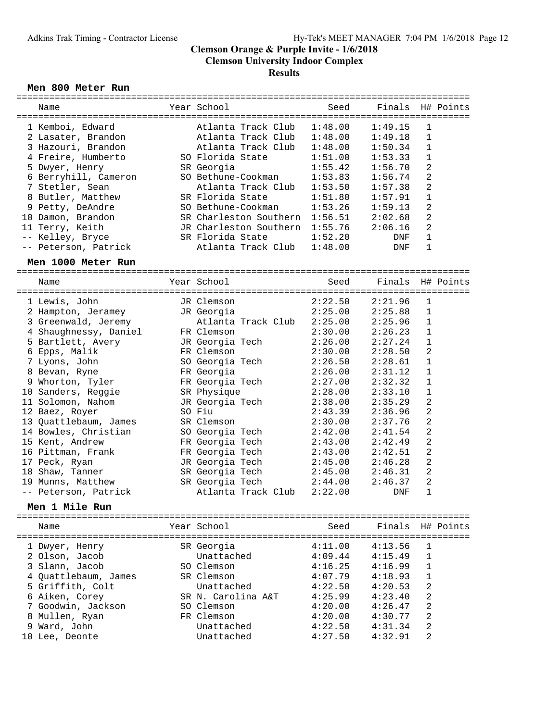#### Men 800 Meter Run

| Name                       | Year School                                   | Seed                       | Finals     |                | H# Points |
|----------------------------|-----------------------------------------------|----------------------------|------------|----------------|-----------|
|                            |                                               |                            |            |                |           |
| 1 Kemboi, Edward           | Atlanta Track Club                            | 1:48.00                    | 1:49.15    | 1              |           |
| 2 Lasater, Brandon         | Atlanta Track Club                            | 1:48.00                    | 1:49.18    | $\mathbf{1}$   |           |
| 3 Hazouri, Brandon         | Atlanta Track Club                            | 1:48.00                    | 1:50.34    | 1              |           |
| 4 Freire, Humberto         | SO Florida State                              | 1:51.00                    | 1:53.33    | 1              |           |
| 5 Dwyer, Henry             | SR Georgia                                    | 1:55.42                    | 1:56.70    | 2              |           |
| 6 Berryhill, Cameron       | SO Bethune-Cookman                            | 1:53.83                    | 1:56.74    | 2              |           |
| 7 Stetler, Sean            | Atlanta Track Club                            | 1:53.50                    | 1:57.38    | 2              |           |
| 8 Butler, Matthew          | SR Florida State                              | 1:51.80                    | 1:57.91    | 1              |           |
| 9 Petty, DeAndre           | SO Bethune-Cookman                            | 1:53.26                    | 1:59.13    | 2              |           |
| 10 Damon, Brandon          | SR Charleston Southern 1:56.51                |                            | 2:02.68    | 2              |           |
| 11 Terry, Keith            | JR Charleston Southern                        | 1:55.76                    | 2:06.16    | 2              |           |
| -- Kelley, Bryce           | SR Florida State                              | 1:52.20                    | DNF        | 1              |           |
| -- Peterson, Patrick       | Atlanta Track Club                            | 1:48.00                    | DNF        | 1              |           |
| Men 1000 Meter Run         |                                               |                            |            |                |           |
|                            |                                               |                            |            |                |           |
| Name<br>------------------ | Year School<br>------------------------------ | Seed<br>------------------ | Finals     |                | H# Points |
| 1 Lewis, John              | JR Clemson                                    | 2:22.50                    | 2:21.96    | 1              |           |
| 2 Hampton, Jeramey         | JR Georgia                                    | 2:25.00                    | 2:25.88    | 1              |           |
| 3 Greenwald, Jeremy        | Atlanta Track Club                            | 2:25.00                    | 2:25.96    | 1              |           |
| 4 Shaughnessy, Daniel      | FR Clemson                                    | 2:30.00                    | 2:26.23    | 1              |           |
| 5 Bartlett, Avery          | JR Georgia Tech                               | 2:26.00                    | 2:27.24    | 1              |           |
| 6 Epps, Malik              | FR Clemson                                    | 2:30.00                    | 2:28.50    | $\overline{2}$ |           |
| 7 Lyons, John              | SO Georgia Tech                               | 2:26.50                    | 2:28.61    | $\mathbf 1$    |           |
| 8 Bevan, Ryne              | FR Georgia                                    | 2:26.00                    | 2:31.12    | $\mathbf 1$    |           |
| 9 Whorton, Tyler           | FR Georgia Tech                               | 2:27.00                    | 2:32.32    | 1              |           |
| 10 Sanders, Reggie         | SR Physique                                   | 2:28.00                    | 2:33.10    | 1              |           |
| 11 Solomon, Nahom          | JR Georgia Tech                               | 2:38.00                    | 2:35.29    | 2              |           |
| 12 Baez, Royer             | SO Fiu                                        | 2:43.39                    | 2:36.96    | $\overline{a}$ |           |
| 13 Quattlebaum, James      | SR Clemson                                    | 2:30.00                    | 2:37.76    | 2              |           |
| 14 Bowles, Christian       | SO Georgia Tech                               | 2:42.00                    | 2:41.54    | 2              |           |
| 15 Kent, Andrew            |                                               | 2:43.00                    | 2:42.49    | 2              |           |
|                            | FR Georgia Tech                               |                            |            |                |           |
| 16 Pittman, Frank          | FR Georgia Tech                               | 2:43.00                    | 2:42.51    | 2              |           |
| 17 Peck, Ryan              | JR Georgia Tech                               | 2:45.00                    | 2:46.28    | 2              |           |
| 18 Shaw, Tanner            | SR Georgia Tech                               | 2:45.00                    | 2:46.31    | 2              |           |
| 19 Munns, Matthew          | SR Georgia Tech                               | 2:44.00                    | 2:46.37    | 2              |           |
| -- Peterson, Patrick       | Atlanta Track Club                            | 2:22.00                    | <b>DNF</b> | 1              |           |
| Men 1 Mile Run             |                                               |                            |            |                |           |
| Name                       | Year School                                   | Seed                       | Finals     |                | H# Points |
| 1 Dwyer, Henry             | SR Georgia                                    | 4:11.00                    | 4:13.56    | 1              |           |
| 2 Olson, Jacob             | Unattached                                    | 4:09.44                    | 4:15.49    | 1              |           |
| 3 Slann, Jacob             | SO Clemson                                    | 4:16.25                    | 4:16.99    | 1              |           |
| 4 Quattlebaum, James       | SR Clemson                                    | 4:07.79                    | 4:18.93    | 1              |           |
| 5 Griffith, Colt           | Unattached                                    | 4:22.50                    | 4:20.53    | 2              |           |
| 6 Aiken, Corey             | SR N. Carolina A&T                            | 4:25.99                    | 4:23.40    | 2              |           |
| 7 Goodwin, Jackson         | SO Clemson                                    | 4:20.00                    | 4:26.47    | 2              |           |
| 8 Mullen, Ryan             | FR Clemson                                    | 4:20.00                    | 4:30.77    | 2              |           |
| 9 Ward, John               | Unattached                                    | 4:22.50                    | 4:31.34    | 2              |           |
| 10 Lee, Deonte             | Unattached                                    | 4:27.50                    | 4:32.91    | 2              |           |
|                            |                                               |                            |            |                |           |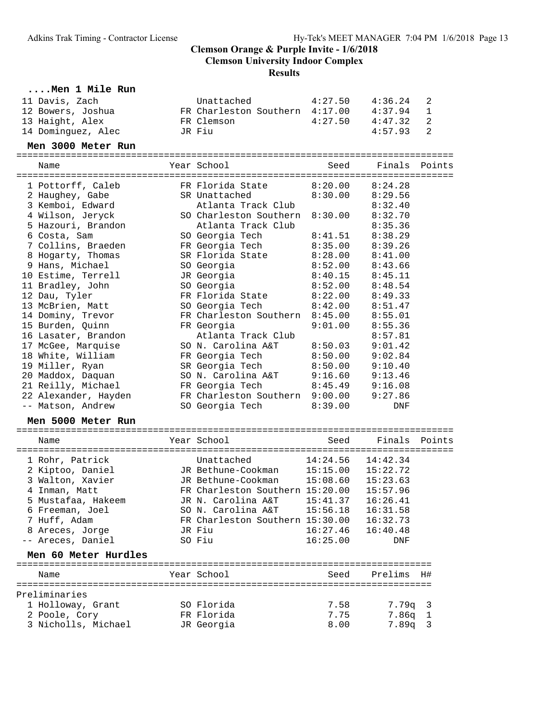| Men 1 Mile Run       |                                          |          |                    |        |
|----------------------|------------------------------------------|----------|--------------------|--------|
| 11 Davis, Zach       | Unattached                               | 4:27.50  | 4:36.24            | 2      |
| 12 Bowers, Joshua    | FR Charleston Southern 4:17.00           |          | 4:37.94            | 1      |
| 13 Haight, Alex      | FR Clemson                               | 4:27.50  | 4:47.32            | 2      |
| 14 Dominguez, Alec   | JR Fiu                                   |          | 4:57.93            | 2      |
| Men 3000 Meter Run   |                                          |          |                    |        |
| Name                 | Year School                              | Seed     | Finals             | Points |
|                      |                                          |          |                    |        |
| 1 Pottorff, Caleb    | FR Florida State                         | 8:20.00  | 8:24.28            |        |
| 2 Haughey, Gabe      | SR Unattached                            | 8:30.00  | 8:29.56            |        |
| 3 Kemboi, Edward     | Atlanta Track Club                       |          | 8:32.40            |        |
| 4 Wilson, Jeryck     | SO Charleston Southern                   | 8:30.00  | 8:32.70            |        |
| 5 Hazouri, Brandon   | Atlanta Track Club                       |          | 8:35.36            |        |
| 6 Costa, Sam         | SO Georgia Tech                          | 8:41.51  | 8:38.29            |        |
| 7 Collins, Braeden   | FR Georgia Tech                          | 8:35.00  | 8:39.26            |        |
| 8 Hogarty, Thomas    | SR Florida State                         | 8:28.00  | 8:41.00            |        |
| 9 Hans, Michael      | SO Georgia                               | 8:52.00  | 8:43.66            |        |
| 10 Estime, Terrell   | JR Georgia                               | 8:40.15  | 8:45.11            |        |
| 11 Bradley, John     | SO Georgia                               | 8:52.00  | 8:48.54            |        |
| 12 Dau, Tyler        | FR Florida State                         | 8:22.00  | 8:49.33            |        |
| 13 McBrien, Matt     | SO Georgia Tech                          | 8:42.00  | 8:51.47            |        |
| 14 Dominy, Trevor    | FR Charleston Southern                   | 8:45.00  | 8:55.01            |        |
| 15 Burden, Quinn     | FR Georgia                               | 9:01.00  | 8:55.36            |        |
| 16 Lasater, Brandon  | Atlanta Track Club                       |          | 8:57.81            |        |
| 17 McGee, Marquise   | SO N. Carolina A&T                       | 8:50.03  | 9:01.42            |        |
| 18 White, William    | FR Georgia Tech                          | 8:50.00  | 9:02.84            |        |
| 19 Miller, Ryan      | SR Georgia Tech                          | 8:50.00  | 9:10.40            |        |
| 20 Maddox, Daquan    | SO N. Carolina A&T                       | 9:16.60  | 9:13.46            |        |
| 21 Reilly, Michael   | FR Georgia Tech                          | 8:45.49  | 9:16.08            |        |
| 22 Alexander, Hayden | FR Charleston Southern 9:00.00           |          | 9:27.86            |        |
| -- Matson, Andrew    | SO Georgia Tech                          | 8:39.00  | DNF                |        |
| Men 5000 Meter Run   |                                          |          |                    |        |
| Name                 | Year School                              | Seed     | Finals             | Points |
|                      |                                          |          |                    |        |
| 1 Rohr, Patrick      | Unattached                               | 14:24.56 | 14:42.34           |        |
| 2 Kiptoo, Daniel     | JR Bethune-Cookman                       |          | 15:15.00  15:22.72 |        |
| 3 Walton, Xavier     | JR Bethune-Cookman                       | 15:08.60 | 15:23.63           |        |
| 4 Inman, Matt        | FR Charleston Southern 15:20.00 15:57.96 |          |                    |        |
| 5 Mustafaa, Hakeem   | JR N. Carolina A&T                       | 15:41.37 | 16:26.41           |        |
| 6 Freeman, Joel      | SO N. Carolina A&T                       | 15:56.18 | 16:31.58           |        |
| 7 Huff, Adam         | FR Charleston Southern 15:30.00          |          | 16:32.73           |        |
| 8 Areces, Jorge      | JR Fiu                                   | 16:27.46 | 16:40.48           |        |
| -- Areces, Daniel    | SO Fiu                                   | 16:25.00 | DNF                |        |
| Men 60 Meter Hurdles |                                          |          |                    |        |
| Name                 | Year School                              | Seed     | Prelims H#         |        |
|                      |                                          |          |                    |        |
| Preliminaries        |                                          |          |                    |        |
| 1 Holloway, Grant    | SO Florida                               | 7.58     | $7.79q$ 3          |        |
| 2 Poole, Cory        | FR Florida                               | 7.75     | $7.86q$ 1          |        |
| 3 Nicholls, Michael  | JR Georgia                               | 8.00     | $7.89q$ 3          |        |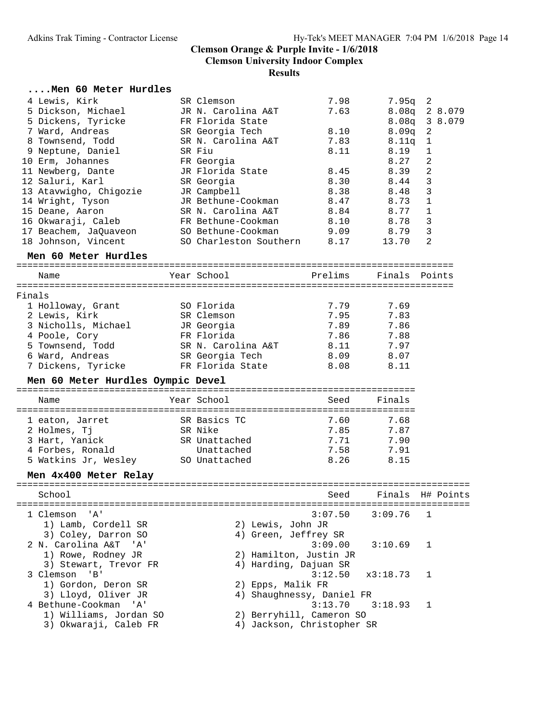#### **....Men 60 Meter Hurdles**

| 4 Lewis, Kirk          | SR Clemson             | 7.98 | 7.95a             | -2             |
|------------------------|------------------------|------|-------------------|----------------|
| 5 Dickson, Michael     | JR N. Carolina A&T     | 7.63 | 8.08 <sub>q</sub> | 2 8.079        |
| 5 Dickens, Tyricke     | FR Florida State       |      |                   | 8.08q 3 8.079  |
| 7 Ward, Andreas        | SR Georgia Tech        | 8.10 | 8.09 <sub>q</sub> | $\overline{2}$ |
| 8 Townsend, Todd       | SR N. Carolina A&T     | 7.83 | 8.11 <sub>q</sub> | $\overline{1}$ |
| 9 Neptune, Daniel      | SR Fiu                 | 8.11 | 8.19              |                |
| 10 Erm, Johannes       | FR Georgia             |      | 8.27              | 2              |
| 11 Newberg, Dante      | JR Florida State       | 8.45 | 8.39              | 2              |
| 12 Saluri, Karl        | SR Georgia             | 8.30 | 8.44              | 3              |
| 13 Atavwigho, Chigozie | JR Campbell            | 8.38 | 8.48              | 3              |
| 14 Wright, Tyson       | JR Bethune-Cookman     | 8.47 | 8.73              | $\mathbf{1}$   |
| 15 Deane, Aaron        | SR N. Carolina A&T     | 8.84 | 8.77              |                |
| 16 Okwaraji, Caleb     | FR Bethune-Cookman     | 8.10 | 8.78              | 3              |
| 17 Beachem, JaQuaveon  | SO Bethune-Cookman     | 9.09 | 8.79              | 3              |
| 18 Johnson, Vincent    | SO Charleston Southern | 8.17 | 13.70             | 2              |
|                        |                        |      |                   |                |

| Men 60 Meter Hurdles |                    |         |      |               |
|----------------------|--------------------|---------|------|---------------|
| Name                 | Year School        | Prelims |      |               |
| Finals               |                    |         |      |               |
| 1 Holloway, Grant    | SO Florida         | 7.79    | 7.69 |               |
| 2 Lewis, Kirk        | SR Clemson         | 7.95    | 7.83 |               |
| 3 Nicholls, Michael  | JR Georgia         | 7.89    | 7.86 |               |
| 4 Poole, Cory        | FR Florida         | 7.86    | 7.88 |               |
| 5 Townsend, Todd     | SR N. Carolina A&T | 8.11    | 7.97 |               |
| 6 Ward, Andreas      | SR Georgia Tech    | 8.09    | 8.07 |               |
| 7 Dickens, Tyricke   | FR Florida State   | 8.08    | 8.11 |               |
|                      |                    |         |      | Finals Points |

# **Men 60 Meter Hurdles Oympic Devel** =========================================================================

| Name                 | Year School   | Seed | Finals |
|----------------------|---------------|------|--------|
|                      |               |      |        |
| 1 eaton, Jarret      | SR Basics TC  | 7.60 | 7.68   |
| 2 Holmes, Ti         | SR Nike       | 7.85 | 7.87   |
| 3 Hart, Yanick       | SR Unattached | 7.71 | 7.90   |
| 4 Forbes, Ronald     | Unattached    | 7.58 | 7.91   |
| 5 Watkins Jr, Wesley | SO Unattached | 8.26 | 8.15   |

# **Men 4x400 Meter Relay** ===================================================================================

 School Seed Finals H# Points =================================================================================== 1 Clemson 'A' 3:07.50 3:09.76 1 1) Lamb, Cordell SR 2) Lewis, John JR 3) Coley, Darron SO 4) Green, Jeffrey SR 2 N. Carolina A&T 'A' 3:09.00 3:10.69 1 1) Rowe, Rodney JR 2) Hamilton, Justin JR 3) Stewart, Trevor FR 4) Harding, Dajuan SR 3 Clemson 'B' 3:12.50 x3:18.73 1 1) Gordon, Deron SR 2) Epps, Malik FR 3) Lloyd, Oliver JR 4) Shaughnessy, Daniel FR 4 Bethune-Cookman 'A' 3:13.70 3:18.93 1 1) Williams, Jordan SO 2) Berryhill, Cameron SO 3) Okwaraji, Caleb FR 4) Jackson, Christopher SR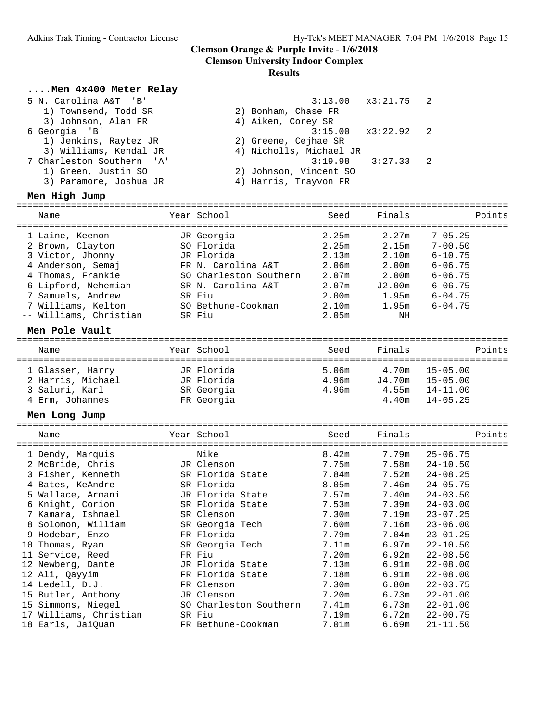# **Clemson University Indoor Complex**

### **Results**

#### **....Men 4x400 Meter Relay**

| 5 N. Carolina A&T 'B'     | $3:13.00 \times 3:21.75$ 2 |  |
|---------------------------|----------------------------|--|
| 1) Townsend, Todd SR      | 2) Bonham, Chase FR        |  |
| 3) Johnson, Alan FR       | 4) Aiken, Corey SR         |  |
| 6 Georgia 'B'             | $3:15.00 \times 3:22.92$ 2 |  |
| 1) Jenkins, Raytez JR     | 2) Greene, Cejhae SR       |  |
| 3) Williams, Kendal JR    | 4) Nicholls, Michael JR    |  |
| 7 Charleston Southern 'A' | $3:27.33$ 2<br>3:19.98     |  |
| 1) Green, Justin SO       | 2) Johnson, Vincent SO     |  |
| 3) Paramore, Joshua JR    | 4) Harris, Trayvon FR      |  |
|                           |                            |  |

| Men High Jump          |                        |       |                   |             |
|------------------------|------------------------|-------|-------------------|-------------|
| Name                   | Year School            | Seed  | Finals            | Points      |
| 1 Laine, Keenon        | JR Georgia             | 2.25m | 2.27m             | $7 - 05.25$ |
| 2 Brown, Clayton       | SO Florida             | 2.25m | 2.15m             | $7 - 00.50$ |
| 3 Victor, Jhonny       | JR Florida             | 2.13m | 2.10m             | $6 - 10.75$ |
| 4 Anderson, Semaj      | FR N. Carolina A&T     | 2.06m | 2.00 <sub>m</sub> | $6 - 06.75$ |
| 4 Thomas, Frankie      | SO Charleston Southern | 2.07m | 2.00m             | $6 - 06.75$ |
| 6 Lipford, Nehemiah    | SR N. Carolina A&T     | 2.07m | J2.00m            | $6 - 06.75$ |
| 7 Samuels, Andrew      | SR Fiu                 | 2.00m | 1.95m             | $6 - 04.75$ |
| 7 Williams, Kelton     | SO Bethune-Cookman     | 2.10m | 1.95m             | $6 - 04.75$ |
| -- Williams, Christian | SR Fiu                 | 2.05m | ΝH                |             |

| Men Pole Vault    |             |       |        |                    |
|-------------------|-------------|-------|--------|--------------------|
| Name              | Year School | Seed  | Finals | Points             |
| 1 Glasser, Harry  | JR Florida  | 5.06m |        | $4.70m$ $15-05.00$ |
| 2 Harris, Michael | JR Florida  | 4.96m | J4.70m | $15 - 05.00$       |
| 3 Saluri, Karl    | SR Georgia  | 4.96m | 4.55m  | 14-11.00           |
| 4 Erm, Johannes   | FR Georgia  |       | 4.40m  | $14 - 05.25$       |
|                   |             |       |        |                    |

| Men Long Jump<br>===================== |                            |       |        |              |
|----------------------------------------|----------------------------|-------|--------|--------------|
| Name                                   | Year School<br>=========== | Seed  | Finals | Points       |
| 1 Dendy, Marquis                       | Nike                       | 8.42m | 7.79m  | $25 - 06.75$ |
| 2 McBride, Chris                       | JR Clemson                 | 7.75m | 7.58m  | $24 - 10.50$ |
| 3 Fisher, Kenneth                      | SR Florida State           | 7.84m | 7.52m  | $24 - 08.25$ |
| 4 Bates, KeAndre                       | SR Florida                 | 8.05m | 7.46m  | $24 - 05.75$ |
| 5 Wallace, Armani                      | JR Florida State           | 7.57m | 7.40m  | $24 - 03.50$ |
| 6 Knight, Corion                       | SR Florida State           | 7.53m | 7.39m  | $24 - 03.00$ |
| 7 Kamara, Ishmael                      | SR Clemson                 | 7.30m | 7.19m  | $23 - 07.25$ |
| 8 Solomon, William                     | SR Georgia Tech            | 7.60m | 7.16m  | $23 - 06.00$ |
| 9 Hodebar, Enzo                        | FR Florida                 | 7.79m | 7.04m  | $23 - 01.25$ |
| 10 Thomas, Ryan                        | SR Georgia Tech            | 7.11m | 6.97m  | $22 - 10.50$ |
| 11 Service, Reed                       | FR Fiu                     | 7.20m | 6.92m  | $22 - 08.50$ |
| 12 Newberg, Dante                      | JR Florida State           | 7.13m | 6.91m  | $22 - 08.00$ |
| 12 Ali, Qayyim                         | FR Florida State           | 7.18m | 6.91m  | $22 - 08.00$ |
| 14 Ledell, D.J.                        | FR Clemson                 | 7.30m | 6.80m  | $22 - 03.75$ |
| 15 Butler, Anthony                     | JR Clemson                 | 7.20m | 6.73m  | $22 - 01.00$ |
| 15 Simmons, Niegel                     | SO Charleston Southern     | 7.41m | 6.73m  | $22 - 01.00$ |
| 17 Williams, Christian                 | SR Fiu                     | 7.19m | 6.72m  | $22 - 00.75$ |
| 18 Earls, JaiQuan                      | FR Bethune-Cookman         | 7.01m | 6.69m  | $21 - 11.50$ |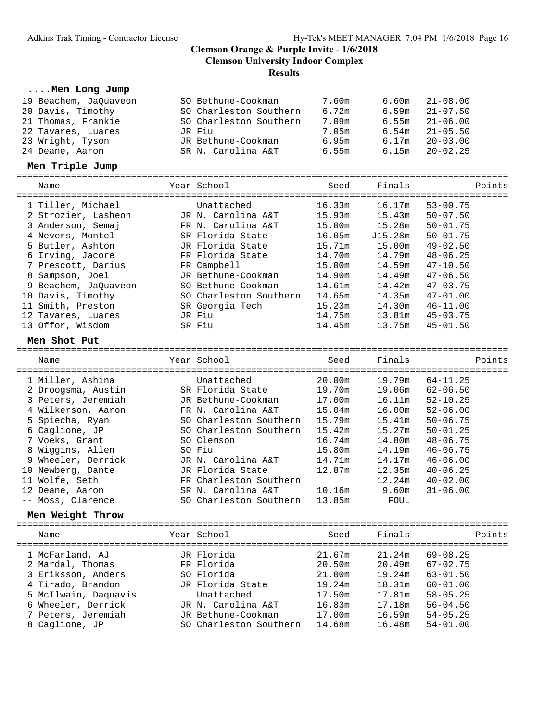# **....Men Long Jump**

| 19 Beachem, JaQuaveon | SO Bethune-Cookman     | 7.60m  | 6.60m   | $21 - 08.00$ |
|-----------------------|------------------------|--------|---------|--------------|
| 20 Davis, Timothy     | SO Charleston Southern | 6.72m  | 6.59m   | $21 - 07.50$ |
| 21 Thomas, Frankie    | SO Charleston Southern | 7.09m  | 6.55m   | $21 - 06.00$ |
| 22 Tavares, Luares    | JR Fiu                 | 7.05m  | 6.54m   | $21 - 05.50$ |
| 23 Wright, Tyson      | JR Bethune-Cookman     | 6.95m  | 6.17m   | $20 - 03.00$ |
| 24 Deane, Aaron       | SR N. Carolina A&T     | 6.55m  | 6.15m   | $20 - 02.25$ |
| Men Triple Jump       |                        |        |         |              |
|                       |                        |        |         |              |
| Name                  | Year School            | Seed   | Finals  | Points       |
| 1 Tiller, Michael     | Unattached             | 16.33m | 16.17m  | $53 - 00.75$ |
| 2 Strozier, Lasheon   | JR N. Carolina A&T     | 15.93m | 15.43m  | $50 - 07.50$ |
| 3 Anderson, Semaj     | FR N. Carolina A&T     | 15.00m | 15.28m  | $50 - 01.75$ |
| 4 Nevers, Montel      | SR Florida State       | 16.05m | J15.28m | $50 - 01.75$ |
|                       | JR Florida State       |        |         | $49 - 02.50$ |
| 5 Butler, Ashton      |                        | 15.71m | 15.00m  |              |
| 6 Irving, Jacore      | FR Florida State       | 14.70m | 14.79m  | $48 - 06.25$ |
| 7 Prescott, Darius    | FR Campbell            | 15.00m | 14.59m  | $47 - 10.50$ |
| 8 Sampson, Joel       | JR Bethune-Cookman     | 14.90m | 14.49m  | $47 - 06.50$ |
| 9 Beachem, JaQuaveon  | SO Bethune-Cookman     | 14.61m | 14.42m  | $47 - 03.75$ |
| 10 Davis, Timothy     | SO Charleston Southern | 14.65m | 14.35m  | $47 - 01.00$ |
| 11 Smith, Preston     | SR Georgia Tech        | 15.23m | 14.30m  | $46 - 11.00$ |
| 12 Tavares, Luares    | JR Fiu                 | 14.75m | 13.81m  | $45 - 03.75$ |
| 13 Offor, Wisdom      | SR Fiu                 | 14.45m | 13.75m  | $45 - 01.50$ |
| Men Shot Put          |                        |        |         |              |
| Name                  | Year School            | Seed   | Finals  | Points       |
|                       |                        |        |         |              |
| 1 Miller, Ashina      | Unattached             | 20.00m | 19.79m  | $64 - 11.25$ |
| 2 Droogsma, Austin    | SR Florida State       | 19.70m | 19.06m  | $62 - 06.50$ |
| 3 Peters, Jeremiah    | JR Bethune-Cookman     | 17.00m | 16.11m  | $52 - 10.25$ |
| 4 Wilkerson, Aaron    | FR N. Carolina A&T     | 15.04m | 16.00m  | $52 - 06.00$ |
| 5 Spiecha, Ryan       | SO Charleston Southern | 15.79m | 15.41m  | $50 - 06.75$ |
| 6 Caglione, JP        | SO Charleston Southern | 15.42m | 15.27m  | $50 - 01.25$ |
| 7 Voeks, Grant        | SO Clemson             | 16.74m | 14.80m  | $48 - 06.75$ |
| 8 Wiggins, Allen      | SO Fiu                 | 15.80m | 14.19m  | $46 - 06.75$ |
| 9 Wheeler, Derrick    | JR N. Carolina A&T     | 14.71m | 14.17m  | $46 - 06.00$ |
| 10 Newberg, Dante     | JR Florida State       | 12.87m | 12.35m  | $40 - 06.25$ |
| 11 Wolfe, Seth        | FR Charleston Southern |        | 12.24m  | $40 - 02.00$ |
| 12 Deane, Aaron       | SR N. Carolina A&T     | 10.16m | 9.60m   | $31 - 06.00$ |
| -- Moss, Clarence     | SO Charleston Southern | 13.85m | FOUL    |              |
| Men Weight Throw      |                        |        |         |              |
| Name                  | Year School            | Seed   | Finals  | Points       |
|                       |                        |        |         |              |
| 1 McFarland, AJ       | JR Florida             | 21.67m | 21.24m  | $69 - 08.25$ |
| 2 Mardal, Thomas      | FR Florida             | 20.50m | 20.49m  | $67 - 02.75$ |
| 3 Eriksson, Anders    | SO Florida             | 21.00m | 19.24m  | $63 - 01.50$ |
| 4 Tirado, Brandon     | JR Florida State       | 19.24m | 18.31m  | $60 - 01.00$ |
| 5 McIlwain, Daquavis  | Unattached             | 17.50m | 17.81m  | $58 - 05.25$ |
| 6 Wheeler, Derrick    | JR N. Carolina A&T     | 16.83m | 17.18m  | $56 - 04.50$ |
| 7 Peters, Jeremiah    | JR Bethune-Cookman     | 17.00m | 16.59m  | $54 - 05.25$ |
| 8 Caglione, JP        | SO Charleston Southern | 14.68m | 16.48m  | $54 - 01.00$ |
|                       |                        |        |         |              |